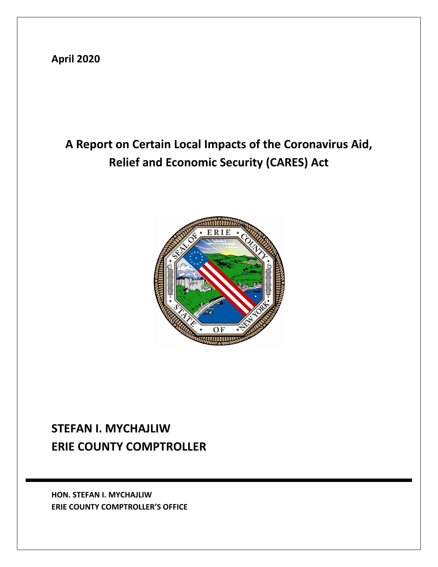**April 2020**

# **A Report on Certain Local Impacts of the Coronavirus Aid, Relief and Economic Security (CARES) Act**



## **STEFAN I. MYCHAJLIW ERIE COUNTY COMPTROLLER**

**HON. STEFAN I. MYCHAJLIW ERIE COUNTY COMPTROLLER'S OFFICE**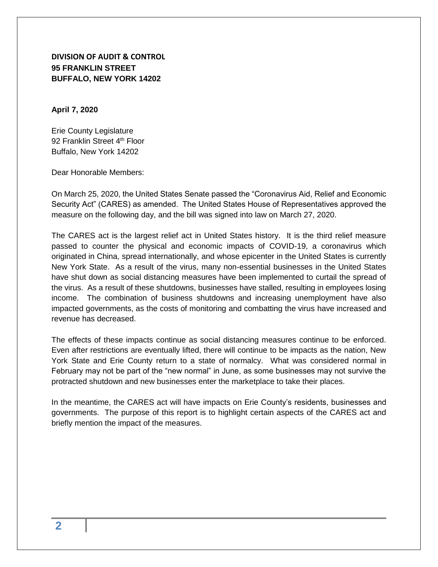**DIVISION OF AUDIT & CONTROL 95 FRANKLIN STREET BUFFALO, NEW YORK 14202**

**April 7, 2020**

Erie County Legislature 92 Franklin Street 4<sup>th</sup> Floor Buffalo, New York 14202

Dear Honorable Members:

On March 25, 2020, the United States Senate passed the "Coronavirus Aid, Relief and Economic Security Act" (CARES) as amended. The United States House of Representatives approved the measure on the following day, and the bill was signed into law on March 27, 2020.

The CARES act is the largest relief act in United States history. It is the third relief measure passed to counter the physical and economic impacts of COVID-19, a coronavirus which originated in China, spread internationally, and whose epicenter in the United States is currently New York State. As a result of the virus, many non-essential businesses in the United States have shut down as social distancing measures have been implemented to curtail the spread of the virus. As a result of these shutdowns, businesses have stalled, resulting in employees losing income. The combination of business shutdowns and increasing unemployment have also impacted governments, as the costs of monitoring and combatting the virus have increased and revenue has decreased.

The effects of these impacts continue as social distancing measures continue to be enforced. Even after restrictions are eventually lifted, there will continue to be impacts as the nation, New York State and Erie County return to a state of normalcy. What was considered normal in February may not be part of the "new normal" in June, as some businesses may not survive the protracted shutdown and new businesses enter the marketplace to take their places.

In the meantime, the CARES act will have impacts on Erie County's residents, businesses and governments. The purpose of this report is to highlight certain aspects of the CARES act and briefly mention the impact of the measures.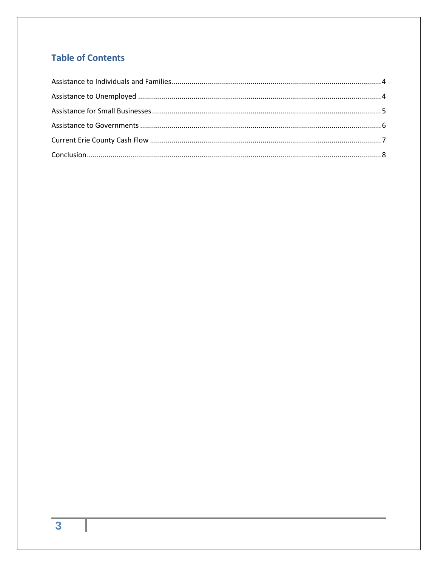### **Table of Contents**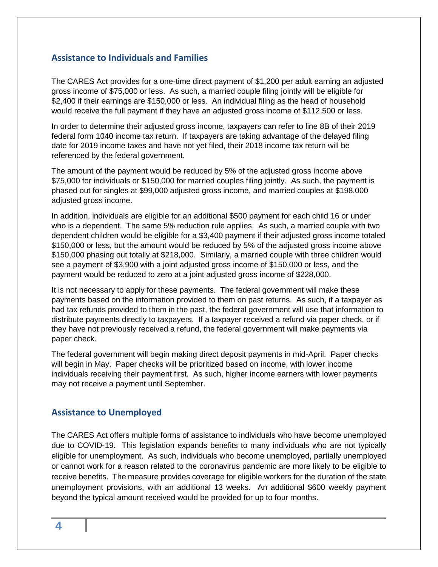#### <span id="page-3-0"></span>**Assistance to Individuals and Families**

The CARES Act provides for a one-time direct payment of \$1,200 per adult earning an adjusted gross income of \$75,000 or less. As such, a married couple filing jointly will be eligible for \$2,400 if their earnings are \$150,000 or less. An individual filing as the head of household would receive the full payment if they have an adjusted gross income of \$112,500 or less.

In order to determine their adjusted gross income, taxpayers can refer to line 8B of their 2019 federal form 1040 income tax return. If taxpayers are taking advantage of the delayed filing date for 2019 income taxes and have not yet filed, their 2018 income tax return will be referenced by the federal government.

The amount of the payment would be reduced by 5% of the adjusted gross income above \$75,000 for individuals or \$150,000 for married couples filing jointly. As such, the payment is phased out for singles at \$99,000 adjusted gross income, and married couples at \$198,000 adjusted gross income.

In addition, individuals are eligible for an additional \$500 payment for each child 16 or under who is a dependent. The same 5% reduction rule applies. As such, a married couple with two dependent children would be eligible for a \$3,400 payment if their adjusted gross income totaled \$150,000 or less, but the amount would be reduced by 5% of the adjusted gross income above \$150,000 phasing out totally at \$218,000. Similarly, a married couple with three children would see a payment of \$3,900 with a joint adjusted gross income of \$150,000 or less, and the payment would be reduced to zero at a joint adjusted gross income of \$228,000.

It is not necessary to apply for these payments. The federal government will make these payments based on the information provided to them on past returns. As such, if a taxpayer as had tax refunds provided to them in the past, the federal government will use that information to distribute payments directly to taxpayers. If a taxpayer received a refund via paper check, or if they have not previously received a refund, the federal government will make payments via paper check.

The federal government will begin making direct deposit payments in mid-April. Paper checks will begin in May. Paper checks will be prioritized based on income, with lower income individuals receiving their payment first. As such, higher income earners with lower payments may not receive a payment until September.

#### <span id="page-3-1"></span>**Assistance to Unemployed**

The CARES Act offers multiple forms of assistance to individuals who have become unemployed due to COVID-19. This legislation expands benefits to many individuals who are not typically eligible for unemployment. As such, individuals who become unemployed, partially unemployed or cannot work for a reason related to the coronavirus pandemic are more likely to be eligible to receive benefits. The measure provides coverage for eligible workers for the duration of the state unemployment provisions, with an additional 13 weeks. An additional \$600 weekly payment beyond the typical amount received would be provided for up to four months.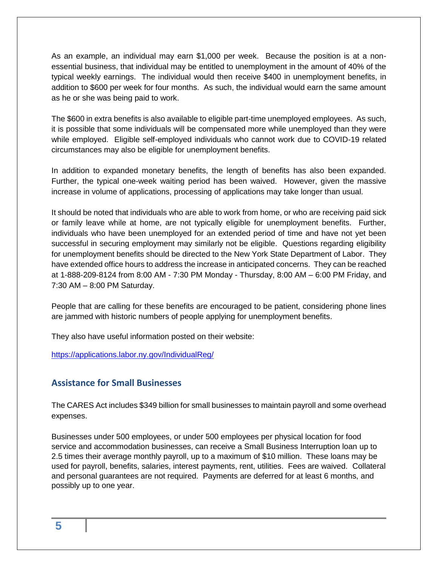As an example, an individual may earn \$1,000 per week. Because the position is at a nonessential business, that individual may be entitled to unemployment in the amount of 40% of the typical weekly earnings. The individual would then receive \$400 in unemployment benefits, in addition to \$600 per week for four months. As such, the individual would earn the same amount as he or she was being paid to work.

The \$600 in extra benefits is also available to eligible part-time unemployed employees. As such, it is possible that some individuals will be compensated more while unemployed than they were while employed. Eligible self-employed individuals who cannot work due to COVID-19 related circumstances may also be eligible for unemployment benefits.

In addition to expanded monetary benefits, the length of benefits has also been expanded. Further, the typical one-week waiting period has been waived. However, given the massive increase in volume of applications, processing of applications may take longer than usual.

It should be noted that individuals who are able to work from home, or who are receiving paid sick or family leave while at home, are not typically eligible for unemployment benefits. Further, individuals who have been unemployed for an extended period of time and have not yet been successful in securing employment may similarly not be eligible. Questions regarding eligibility for unemployment benefits should be directed to the New York State Department of Labor. They have extended office hours to address the increase in anticipated concerns. They can be reached at 1-888-209-8124 from 8:00 AM - 7:30 PM Monday - Thursday, 8:00 AM – 6:00 PM Friday, and 7:30 AM – 8:00 PM Saturday.

People that are calling for these benefits are encouraged to be patient, considering phone lines are jammed with historic numbers of people applying for unemployment benefits.

They also have useful information posted on their website:

<span id="page-4-0"></span><https://applications.labor.ny.gov/IndividualReg/>

#### **Assistance for Small Businesses**

The CARES Act includes \$349 billion for small businesses to maintain payroll and some overhead expenses.

Businesses under 500 employees, or under 500 employees per physical location for food service and accommodation businesses, can receive a Small Business Interruption loan up to 2.5 times their average monthly payroll, up to a maximum of \$10 million. These loans may be used for payroll, benefits, salaries, interest payments, rent, utilities. Fees are waived. Collateral and personal guarantees are not required. Payments are deferred for at least 6 months, and possibly up to one year.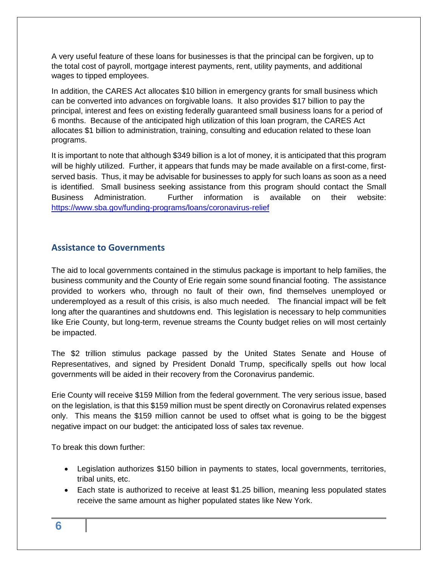A very useful feature of these loans for businesses is that the principal can be forgiven, up to the total cost of payroll, mortgage interest payments, rent, utility payments, and additional wages to tipped employees.

In addition, the CARES Act allocates \$10 billion in emergency grants for small business which can be converted into advances on forgivable loans. It also provides \$17 billion to pay the principal, interest and fees on existing federally guaranteed small business loans for a period of 6 months. Because of the anticipated high utilization of this loan program, the CARES Act allocates \$1 billion to administration, training, consulting and education related to these loan programs.

It is important to note that although \$349 billion is a lot of money, it is anticipated that this program will be highly utilized. Further, it appears that funds may be made available on a first-come, firstserved basis. Thus, it may be advisable for businesses to apply for such loans as soon as a need is identified. Small business seeking assistance from this program should contact the Small Business Administration. Further information is available on their website: <https://www.sba.gov/funding-programs/loans/coronavirus-relief>

#### <span id="page-5-0"></span>**Assistance to Governments**

The aid to local governments contained in the stimulus package is important to help families, the business community and the County of Erie regain some sound financial footing. The assistance provided to workers who, through no fault of their own, find themselves unemployed or underemployed as a result of this crisis, is also much needed. The financial impact will be felt long after the quarantines and shutdowns end. This legislation is necessary to help communities like Erie County, but long-term, revenue streams the County budget relies on will most certainly be impacted.

The \$2 trillion stimulus package passed by the United States Senate and House of Representatives, and signed by President Donald Trump, specifically spells out how local governments will be aided in their recovery from the Coronavirus pandemic.

Erie County will receive \$159 Million from the federal government. The very serious issue, based on the legislation, is that this \$159 million must be spent directly on Coronavirus related expenses only. This means the \$159 million cannot be used to offset what is going to be the biggest negative impact on our budget: the anticipated loss of sales tax revenue.

To break this down further:

- Legislation authorizes \$150 billion in payments to states, local governments, territories, tribal units, etc.
- Each state is authorized to receive at least \$1.25 billion, meaning less populated states receive the same amount as higher populated states like New York.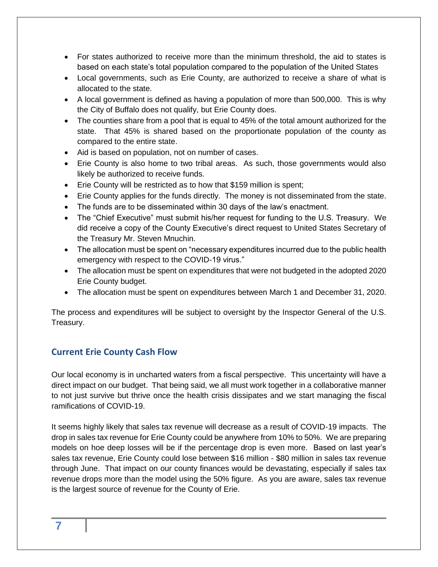- For states authorized to receive more than the minimum threshold, the aid to states is based on each state's total population compared to the population of the United States
- Local governments, such as Erie County, are authorized to receive a share of what is allocated to the state.
- A local government is defined as having a population of more than 500,000. This is why the City of Buffalo does not qualify, but Erie County does.
- The counties share from a pool that is equal to 45% of the total amount authorized for the state. That 45% is shared based on the proportionate population of the county as compared to the entire state.
- Aid is based on population, not on number of cases.
- Erie County is also home to two tribal areas. As such, those governments would also likely be authorized to receive funds.
- Erie County will be restricted as to how that \$159 million is spent;
- Erie County applies for the funds directly. The money is not disseminated from the state.
- The funds are to be disseminated within 30 days of the law's enactment.
- The "Chief Executive" must submit his/her request for funding to the U.S. Treasury. We did receive a copy of the County Executive's direct request to United States Secretary of the Treasury Mr. Steven Mnuchin.
- The allocation must be spent on "necessary expenditures incurred due to the public health emergency with respect to the COVID-19 virus."
- The allocation must be spent on expenditures that were not budgeted in the adopted 2020 Erie County budget.
- The allocation must be spent on expenditures between March 1 and December 31, 2020.

The process and expenditures will be subject to oversight by the Inspector General of the U.S. Treasury.

#### <span id="page-6-0"></span>**Current Erie County Cash Flow**

Our local economy is in uncharted waters from a fiscal perspective. This uncertainty will have a direct impact on our budget. That being said, we all must work together in a collaborative manner to not just survive but thrive once the health crisis dissipates and we start managing the fiscal ramifications of COVID-19.

It seems highly likely that sales tax revenue will decrease as a result of COVID-19 impacts. The drop in sales tax revenue for Erie County could be anywhere from 10% to 50%. We are preparing models on hoe deep losses will be if the percentage drop is even more. Based on last year's sales tax revenue, Erie County could lose between \$16 million - \$80 million in sales tax revenue through June. That impact on our county finances would be devastating, especially if sales tax revenue drops more than the model using the 50% figure. As you are aware, sales tax revenue is the largest source of revenue for the County of Erie.